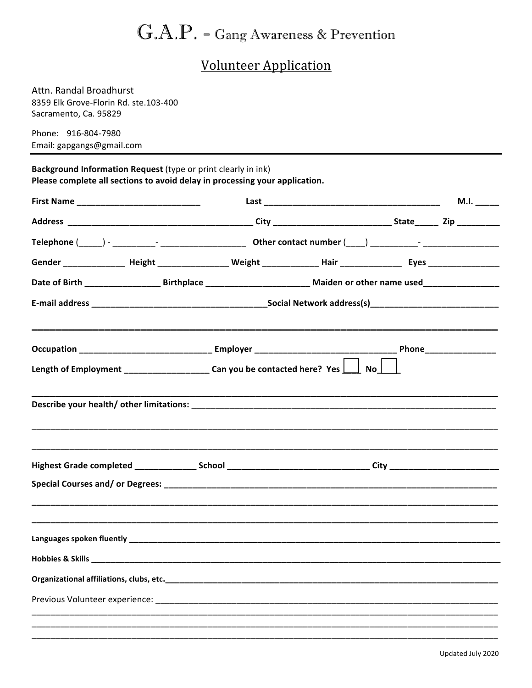# $\mathbf{G.A.P.}$  - Gang Awareness & Prevention

## **Volunteer Application**

Attn. Randal Broadhurst 8359 Elk Grove-Florin Rd. ste.103-400 Sacramento, Ca. 95829

Phone: 916-804-7980 Email: gapgangs@gmail.com

Background Information Request (type or print clearly in ink) Please complete all sections to avoid delay in processing your application.

| First Name _________________________________ |                                                                                                                          |                                                                                                                                                                                                                                |  |  | M.I. $_{\_---}$ |
|----------------------------------------------|--------------------------------------------------------------------------------------------------------------------------|--------------------------------------------------------------------------------------------------------------------------------------------------------------------------------------------------------------------------------|--|--|-----------------|
|                                              |                                                                                                                          |                                                                                                                                                                                                                                |  |  |                 |
|                                              |                                                                                                                          |                                                                                                                                                                                                                                |  |  |                 |
|                                              |                                                                                                                          |                                                                                                                                                                                                                                |  |  |                 |
|                                              |                                                                                                                          |                                                                                                                                                                                                                                |  |  |                 |
|                                              |                                                                                                                          |                                                                                                                                                                                                                                |  |  |                 |
|                                              |                                                                                                                          |                                                                                                                                                                                                                                |  |  |                 |
|                                              | Length of Employment ______________________Can you be contacted here? Yes $\boxed{\phantom{1}}$ No $\boxed{\phantom{1}}$ |                                                                                                                                                                                                                                |  |  |                 |
|                                              |                                                                                                                          |                                                                                                                                                                                                                                |  |  |                 |
|                                              |                                                                                                                          | Highest Grade completed ________________School _________________________________City _________________________                                                                                                                 |  |  |                 |
|                                              |                                                                                                                          |                                                                                                                                                                                                                                |  |  |                 |
|                                              |                                                                                                                          |                                                                                                                                                                                                                                |  |  |                 |
|                                              |                                                                                                                          |                                                                                                                                                                                                                                |  |  |                 |
|                                              |                                                                                                                          |                                                                                                                                                                                                                                |  |  |                 |
|                                              |                                                                                                                          | Previous Volunteer experience: with a state of the control of the control of the control of the control of the control of the control of the control of the control of the control of the control of the control of the contro |  |  |                 |
|                                              |                                                                                                                          |                                                                                                                                                                                                                                |  |  |                 |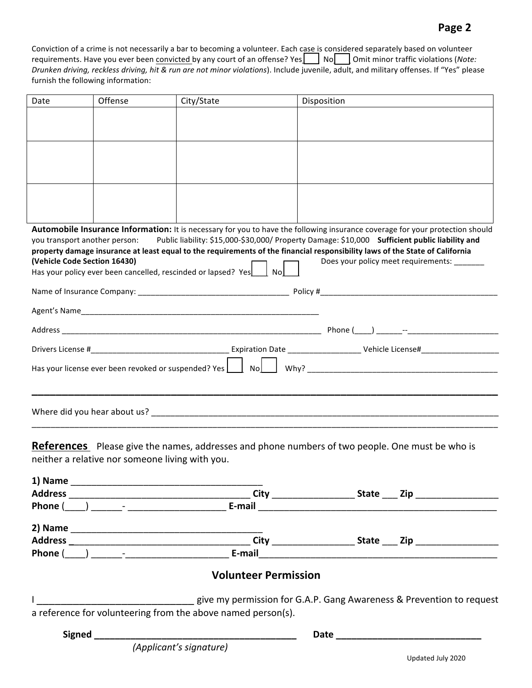#### **Page 2**

Conviction of a crime is not necessarily a bar to becoming a volunteer. Each case is considered separately based on volunteer requirements. Have you ever been convicted by any court of an offense? Yes**\_\_\_\_** No<sub>n</sub> Omit minor traffic violations (Note: Drunken driving, reckless driving, hit & run are not minor violations). Include juvenile, adult, and military offenses. If "Yes" please furnish the following information:

| Date                          | Offense | City/State                                                          | Disposition                                                                                                                   |  |
|-------------------------------|---------|---------------------------------------------------------------------|-------------------------------------------------------------------------------------------------------------------------------|--|
|                               |         |                                                                     |                                                                                                                               |  |
|                               |         |                                                                     |                                                                                                                               |  |
|                               |         |                                                                     |                                                                                                                               |  |
|                               |         |                                                                     |                                                                                                                               |  |
|                               |         |                                                                     |                                                                                                                               |  |
|                               |         |                                                                     |                                                                                                                               |  |
|                               |         |                                                                     |                                                                                                                               |  |
|                               |         |                                                                     |                                                                                                                               |  |
|                               |         |                                                                     | Automobile Insurance Information: It is necessary for you to have the following insurance coverage for your protection should |  |
| you transport another person: |         |                                                                     | Public liability: \$15,000-\$30,000/ Property Damage: \$10,000 Sufficient public liability and                                |  |
|                               |         |                                                                     | property damage insurance at least equal to the requirements of the financial responsibility laws of the State of California  |  |
| (Vehicle Code Section 16430)  |         | Has your policy ever been cancelled, rescinded or lapsed? Yes<br>No | Does your policy meet requirements:                                                                                           |  |
|                               |         |                                                                     |                                                                                                                               |  |
|                               |         |                                                                     |                                                                                                                               |  |
|                               |         |                                                                     |                                                                                                                               |  |
|                               |         |                                                                     |                                                                                                                               |  |
|                               |         |                                                                     |                                                                                                                               |  |
|                               |         |                                                                     |                                                                                                                               |  |
|                               |         |                                                                     |                                                                                                                               |  |
|                               |         |                                                                     |                                                                                                                               |  |
|                               |         |                                                                     |                                                                                                                               |  |
|                               |         |                                                                     |                                                                                                                               |  |
|                               |         |                                                                     |                                                                                                                               |  |

**References** Please give the names, addresses and phone numbers of two people. One must be who is neither a relative nor someone living with you.

| 1) Name |                                  |                                                                      |                                                                                  |
|---------|----------------------------------|----------------------------------------------------------------------|----------------------------------------------------------------------------------|
|         |                                  |                                                                      |                                                                                  |
|         | $Phone( )$ $-$                   | E-mail                                                               |                                                                                  |
|         |                                  |                                                                      |                                                                                  |
|         |                                  |                                                                      | City __________________________________ State ______ Zip _______________________ |
|         | <b>Phone</b> ( ) $\qquad \qquad$ | E-mail                                                               |                                                                                  |
|         |                                  | <b>Volunteer Permission</b>                                          |                                                                                  |
|         |                                  | give my permission for G.A.P. Gang Awareness & Prevention to request |                                                                                  |
|         |                                  | a reference for volunteering from the above named person(s).         |                                                                                  |
|         | Signed                           |                                                                      |                                                                                  |
|         |                                  | (Applicant's signature)                                              |                                                                                  |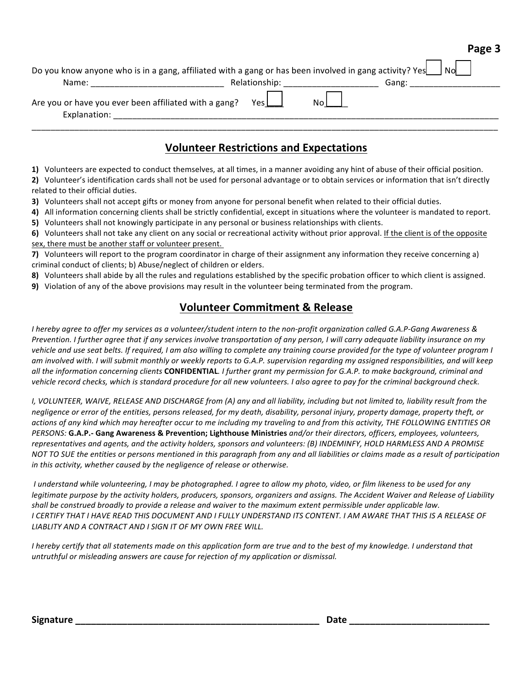| о |  |
|---|--|
|---|--|

| Do you know anyone who is in a gang, affiliated with a gang or has been involved in gang activity? Yes |               | <b>No</b> |
|--------------------------------------------------------------------------------------------------------|---------------|-----------|
| Name:                                                                                                  | Relationship: | Gang:     |
| Are you or have you ever been affiliated with a gang?<br>Explanation:                                  | Yesl          |           |

### **Volunteer Restrictions and Expectations**

**1)** Volunteers are expected to conduct themselves, at all times, in a manner avoiding any hint of abuse of their official position.

**2)** Volunteer's identification cards shall not be used for personal advantage or to obtain services or information that isn't directly related to their official duties.

**3)** Volunteers shall not accept gifts or money from anyone for personal benefit when related to their official duties.

4) All information concerning clients shall be strictly confidential, except in situations where the volunteer is mandated to report. **5)** Volunteers shall not knowingly participate in any personal or business relationships with clients.

6) Volunteers shall not take any client on any social or recreational activity without prior approval. If the client is of the opposite sex, there must be another staff or volunteer present.

**7)** Volunteers will report to the program coordinator in charge of their assignment any information they receive concerning a) criminal conduct of clients; b) Abuse/neglect of children or elders.

8) Volunteers shall abide by all the rules and regulations established by the specific probation officer to which client is assigned.

**9)** Violation of any of the above provisions may result in the volunteer being terminated from the program.

#### **Volunteer Commitment & Release**

*I* hereby agree to offer my services as a volunteer/student intern to the non-profit organization called G.A.P-Gang Awareness & *Prevention.* I further agree that if any services involve transportation of any person, I will carry adequate liability insurance on my vehicle and use seat belts. If required, I am also willing to complete any training course provided for the type of volunteer program I am involved with. I will submit monthly or weekly reports to G.A.P. supervision regarding my assigned responsibilities, and will keep all the information concerning clients **CONFIDENTIAL**. I further grant my permission for G.A.P. to make background, criminal and vehicle record checks, which is standard procedure for all new volunteers. I also agree to pay for the criminal background check.

*I, VOLUNTEER, WAIVE, RELEASE AND DISCHARGE from (A) any and all liability, including but not limited to, liability result from the* negligence or error of the entities, persons released, for my death, disability, personal injury, property damage, property theft, or actions of any kind which may hereafter occur to me including my traveling to and from this activity, THE FOLLOWING ENTITIES OR *PERSONS:* **G.A.P.- Gang Awareness & Prevention; Lighthouse Ministries** and/or their directors, officers, employees, volunteers, representatives and agents, and the activity holders, sponsors and volunteers: (B) INDEMINFY, HOLD HARMLESS AND A PROMISE NOT TO SUE the entities or persons mentioned in this paragraph from any and all liabilities or claims made as a result of participation *in* this activity, whether caused by the negligence of release or otherwise.

*I* understand while volunteering, I may be photographed. I agree to allow my photo, video, or film likeness to be used for any *legitimate purpose by the activity holders, producers, sponsors, organizers and assigns. The Accident Waiver and Release of Liability* shall be construed broadly to provide a release and waiver to the maximum extent permissible under applicable law. *I CERTIFY THAT I HAVE READ THIS DOCUMENT AND I FULLY UNDERSTAND ITS CONTENT. I AM AWARE THAT THIS IS A RELEASE OF*  LIABLITY AND A CONTRACT AND I SIGN IT OF MY OWN FREE WILL.

*I* hereby certify that all statements made on this application form are true and to the best of my knowledge. I understand that *untruthful* or misleading answers are cause for rejection of my application or dismissal.

**Signature \_\_\_\_\_\_\_\_\_\_\_\_\_\_\_\_\_\_\_\_\_\_\_\_\_\_\_\_\_\_\_\_\_\_\_\_\_\_\_\_\_\_\_\_\_\_\_ Date \_\_\_\_\_\_\_\_\_\_\_\_\_\_\_\_\_\_\_\_\_\_\_\_\_\_\_**